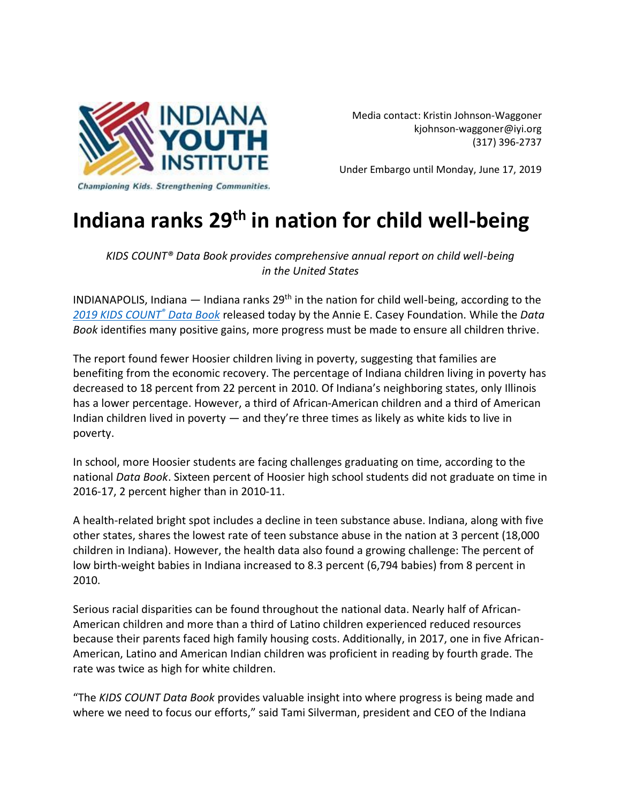

Media contact: Kristin Johnson-Waggoner [kjohnson-waggoner@iyi.org](mailto:kjohnson-waggoner@iyi.org) (317) 396-2737

Under Embargo until Monday, June 17, 2019

## **Indiana ranks 29th in nation for child well-being**

*KIDS COUNT® Data Book provides comprehensive annual report on child well-being in the United States*

INDIANAPOLIS, Indiana  $-$  Indiana ranks 29<sup>th</sup> in the nation for child well-being, according to the *[2019 KIDS COUNT](http://www.aecf.org/databook)® Data Book* released today by the Annie E. Casey Foundation. While the *Data Book* identifies many positive gains, more progress must be made to ensure all children thrive.

The report found fewer Hoosier children living in poverty, suggesting that families are benefiting from the economic recovery. The percentage of Indiana children living in poverty has decreased to 18 percent from 22 percent in 2010. Of Indiana's neighboring states, only Illinois has a lower percentage. However, a third of African-American children and a third of American Indian children lived in poverty — and they're three times as likely as white kids to live in poverty.

In school, more Hoosier students are facing challenges graduating on time, according to the national *Data Book*. Sixteen percent of Hoosier high school students did not graduate on time in 2016-17, 2 percent higher than in 2010-11.

A health-related bright spot includes a decline in teen substance abuse. Indiana, along with five other states, shares the lowest rate of teen substance abuse in the nation at 3 percent (18,000 children in Indiana). However, the health data also found a growing challenge: The percent of low birth-weight babies in Indiana increased to 8.3 percent (6,794 babies) from 8 percent in 2010.

Serious racial disparities can be found throughout the national data. Nearly half of African-American children and more than a third of Latino children experienced reduced resources because their parents faced high family housing costs. Additionally, in 2017, one in five African-American, Latino and American Indian children was proficient in reading by fourth grade. The rate was twice as high for white children.

"The *KIDS COUNT Data Book* provides valuable insight into where progress is being made and where we need to focus our efforts," said Tami Silverman, president and CEO of the Indiana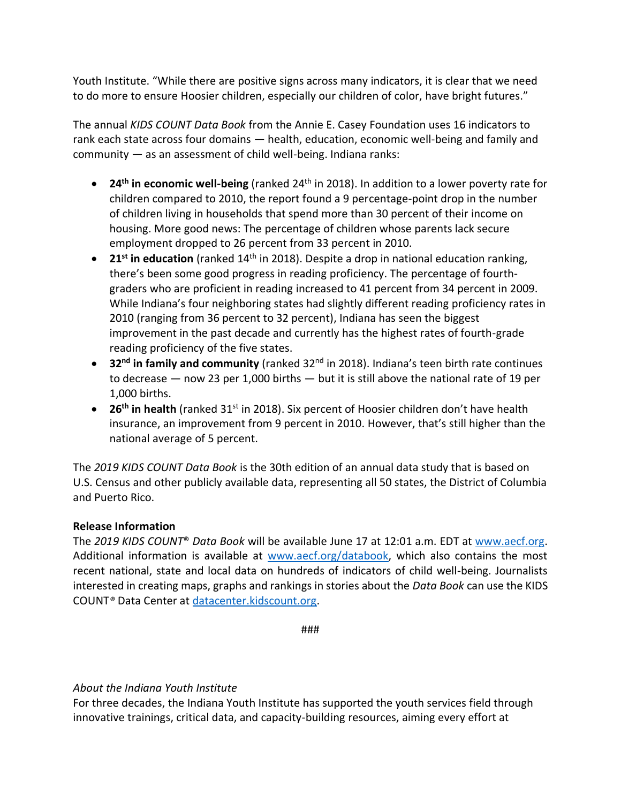Youth Institute. "While there are positive signs across many indicators, it is clear that we need to do more to ensure Hoosier children, especially our children of color, have bright futures."

The annual *KIDS COUNT Data Book* from the Annie E. Casey Foundation uses 16 indicators to rank each state across four domains — health, education, economic well-being and family and community — as an assessment of child well-being. Indiana ranks:

- **24th in economic well-being** (ranked 24th in 2018). In addition to a lower poverty rate for children compared to 2010, the report found a 9 percentage-point drop in the number of children living in households that spend more than 30 percent of their income on housing. More good news: The percentage of children whose parents lack secure employment dropped to 26 percent from 33 percent in 2010.
- **21<sup>st</sup> in education** (ranked 14<sup>th</sup> in 2018). Despite a drop in national education ranking, there's been some good progress in reading proficiency. The percentage of fourthgraders who are proficient in reading increased to 41 percent from 34 percent in 2009. While Indiana's four neighboring states had slightly different reading proficiency rates in 2010 (ranging from 36 percent to 32 percent), Indiana has seen the biggest improvement in the past decade and currently has the highest rates of fourth-grade reading proficiency of the five states.
- **32nd in family and community** (ranked 32nd in 2018). Indiana's teen birth rate continues to decrease — now 23 per 1,000 births — but it is still above the national rate of 19 per 1,000 births.
- 26<sup>th</sup> in health (ranked 31<sup>st</sup> in 2018). Six percent of Hoosier children don't have health insurance, an improvement from 9 percent in 2010. However, that's still higher than the national average of 5 percent.

The *2019 KIDS COUNT Data Book* is the 30th edition of an annual data study that is based on U.S. Census and other publicly available data, representing all 50 states, the District of Columbia and Puerto Rico.

## **Release Information**

The *2019 KIDS COUNT*® *Data Book* will be available June 17 at 12:01 a.m. EDT at [www.aecf.org.](http://www.aecf.org/) Additional information is available at [www.aecf.org/databook,](http://www.aecf.org/databook) which also contains the most recent national, state and local data on hundreds of indicators of child well-being. Journalists interested in creating maps, graphs and rankings in stories about the *Data Book* can use the KIDS COUNT*®* Data Center a[t datacenter.kidscount.org.](http://datacenter.kidscount.org/)

###

## *About the Indiana Youth Institute*

For three decades, the Indiana Youth Institute has supported the youth services field through innovative trainings, critical data, and capacity-building resources, aiming every effort at